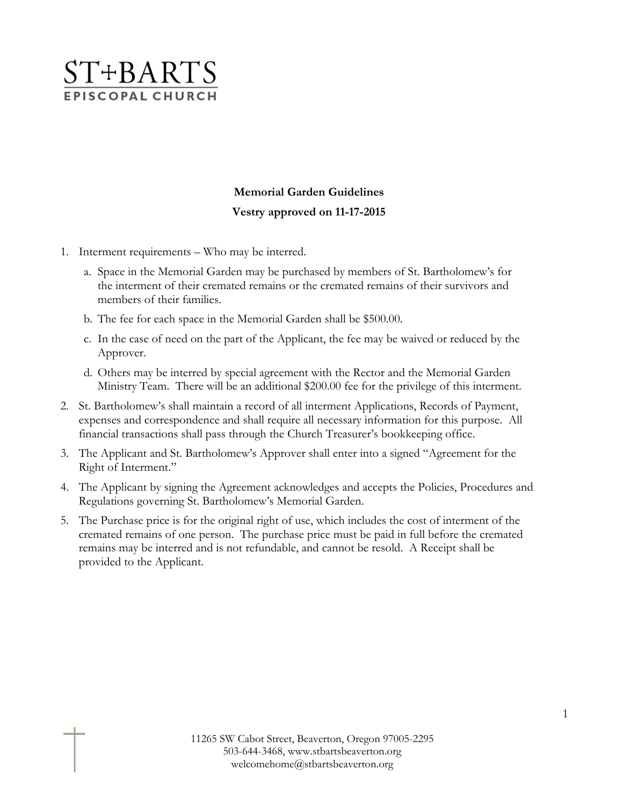

## **Memorial Garden Guidelines Vestry approved on 11-17-2015**

- 1. Interment requirements Who may be interred.
	- a. Space in the Memorial Garden may be purchased by members of St. Bartholomew's for the interment of their cremated remains or the cremated remains of their survivors and members of their families.
	- b. The fee for each space in the Memorial Garden shall be \$500.00.
	- c. In the case of need on the part of the Applicant, the fee may be waived or reduced by the Approver.
	- d. Others may be interred by special agreement with the Rector and the Memorial Garden Ministry Team. There will be an additional \$200.00 fee for the privilege of this interment.
- 2. St. Bartholomew's shall maintain a record of all interment Applications, Records of Payment, expenses and correspondence and shall require all necessary information for this purpose. All financial transactions shall pass through the Church Treasurer's bookkeeping office.
- 3. The Applicant and St. Bartholomew's Approver shall enter into a signed "Agreement for the Right of Interment."
- 4. The Applicant by signing the Agreement acknowledges and accepts the Policies, Procedures and Regulations governing St. Bartholomew's Memorial Garden.
- 5. The Purchase price is for the original right of use, which includes the cost of interment of the cremated remains of one person. The purchase price must be paid in full before the cremated remains may be interred and is not refundable, and cannot be resold. A Receipt shall be provided to the Applicant.